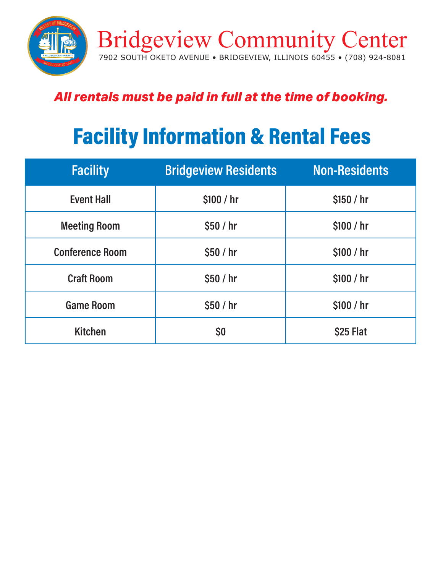

# *All rentals must be paid in full at the time of booking.*

# Facility Information & Rental Fees

| <b>Facility</b>        | <b>Bridgeview Residents</b> | Non-Residents |
|------------------------|-----------------------------|---------------|
| <b>Event Hall</b>      | \$100 / hr                  | \$150 / hr    |
| <b>Meeting Room</b>    | \$50/hr                     | \$100 / hr    |
| <b>Conference Room</b> | \$50/hr                     | \$100 / hr    |
| <b>Craft Room</b>      | \$50/hr                     | \$100 / hr    |
| <b>Game Room</b>       | \$50/hr                     | \$100 / hr    |
| <b>Kitchen</b>         | \$0                         | \$25 Flat     |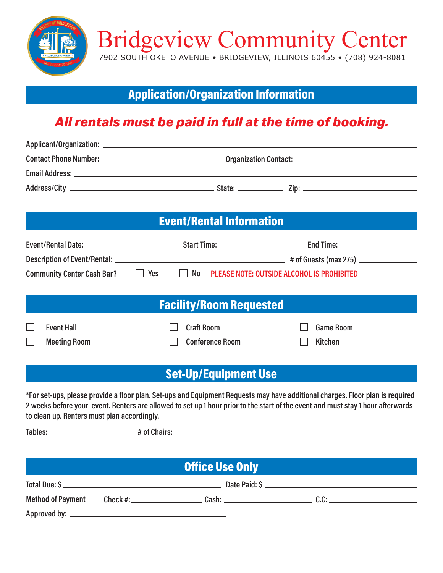

Application/Organization Information

### *All rentals must be paid in full at the time of booking.*

| <b>Event/Rental Information</b>             |            |                                               |  |                                                                                                                                                                                                                                                                  |  |  |  |
|---------------------------------------------|------------|-----------------------------------------------|--|------------------------------------------------------------------------------------------------------------------------------------------------------------------------------------------------------------------------------------------------------------------|--|--|--|
|                                             |            |                                               |  |                                                                                                                                                                                                                                                                  |  |  |  |
|                                             |            |                                               |  |                                                                                                                                                                                                                                                                  |  |  |  |
| <b>Community Center Cash Bar?</b>           | $\Box$ Yes | No PLEASE NOTE: OUTSIDE ALCOHOL IS PROHIBITED |  |                                                                                                                                                                                                                                                                  |  |  |  |
|                                             |            |                                               |  |                                                                                                                                                                                                                                                                  |  |  |  |
| <b>Facility/Room Requested</b>              |            |                                               |  |                                                                                                                                                                                                                                                                  |  |  |  |
| <b>Event Hall</b>                           |            | <b>Craft Room</b>                             |  | <b>Game Room</b>                                                                                                                                                                                                                                                 |  |  |  |
| <b>Meeting Room</b>                         |            | <b>Conference Room</b>                        |  | <b>Kitchen</b>                                                                                                                                                                                                                                                   |  |  |  |
|                                             |            |                                               |  |                                                                                                                                                                                                                                                                  |  |  |  |
|                                             |            | <b>Set-Up/Equipment Use</b>                   |  |                                                                                                                                                                                                                                                                  |  |  |  |
| to clean up. Renters must plan accordingly. |            |                                               |  | *For set-ups, please provide a floor plan. Set-ups and Equipment Requests may have additional charges. Floor plan is required<br>2 weeks before your event. Renters are allowed to set up 1 hour prior to the start of the event and must stay 1 hour afterwards |  |  |  |
|                                             |            |                                               |  |                                                                                                                                                                                                                                                                  |  |  |  |
|                                             |            |                                               |  |                                                                                                                                                                                                                                                                  |  |  |  |
|                                             |            | <b>Office Use Only</b>                        |  |                                                                                                                                                                                                                                                                  |  |  |  |
|                                             |            |                                               |  |                                                                                                                                                                                                                                                                  |  |  |  |
| <b>Method of Payment</b>                    |            |                                               |  |                                                                                                                                                                                                                                                                  |  |  |  |
|                                             |            |                                               |  |                                                                                                                                                                                                                                                                  |  |  |  |